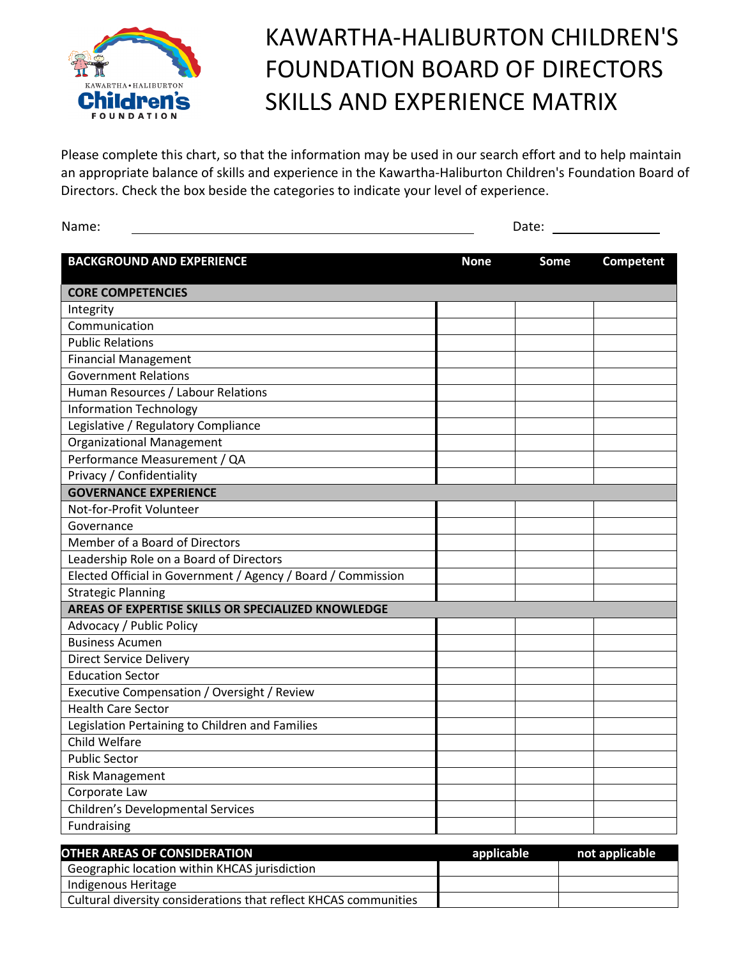

## KAWARTHA-HALIBURTON CHILDREN'S FOUNDATION BOARD OF DIRECTORS SKILLS AND EXPERIENCE MATRIX

Please complete this chart, so that the information may be used in our search effort and to help maintain an appropriate balance of skills and experience in the Kawartha-Haliburton Children's Foundation Board of Directors. Check the box beside the categories to indicate your level of experience.

| <b>BACKGROUND AND EXPERIENCE</b><br><b>None</b><br>Some<br>Competent<br><b>CORE COMPETENCIES</b><br>Integrity<br>Communication<br><b>Public Relations</b><br><b>Financial Management</b><br><b>Government Relations</b><br>Human Resources / Labour Relations<br><b>Information Technology</b><br>Legislative / Regulatory Compliance<br><b>Organizational Management</b><br>Performance Measurement / QA<br>Privacy / Confidentiality<br><b>GOVERNANCE EXPERIENCE</b><br>Not-for-Profit Volunteer<br>Governance<br>Member of a Board of Directors<br>Leadership Role on a Board of Directors<br>Elected Official in Government / Agency / Board / Commission<br><b>Strategic Planning</b><br>AREAS OF EXPERTISE SKILLS OR SPECIALIZED KNOWLEDGE<br>Advocacy / Public Policy<br><b>Business Acumen</b><br><b>Direct Service Delivery</b><br><b>Education Sector</b><br>Executive Compensation / Oversight / Review<br><b>Health Care Sector</b><br>Legislation Pertaining to Children and Families<br>Child Welfare<br><b>Public Sector</b><br><b>Risk Management</b><br>Corporate Law<br><b>Children's Developmental Services</b><br>Fundraising | Name: | Date: |  |  |
|---------------------------------------------------------------------------------------------------------------------------------------------------------------------------------------------------------------------------------------------------------------------------------------------------------------------------------------------------------------------------------------------------------------------------------------------------------------------------------------------------------------------------------------------------------------------------------------------------------------------------------------------------------------------------------------------------------------------------------------------------------------------------------------------------------------------------------------------------------------------------------------------------------------------------------------------------------------------------------------------------------------------------------------------------------------------------------------------------------------------------------------------------|-------|-------|--|--|
|                                                                                                                                                                                                                                                                                                                                                                                                                                                                                                                                                                                                                                                                                                                                                                                                                                                                                                                                                                                                                                                                                                                                                   |       |       |  |  |
|                                                                                                                                                                                                                                                                                                                                                                                                                                                                                                                                                                                                                                                                                                                                                                                                                                                                                                                                                                                                                                                                                                                                                   |       |       |  |  |
|                                                                                                                                                                                                                                                                                                                                                                                                                                                                                                                                                                                                                                                                                                                                                                                                                                                                                                                                                                                                                                                                                                                                                   |       |       |  |  |
|                                                                                                                                                                                                                                                                                                                                                                                                                                                                                                                                                                                                                                                                                                                                                                                                                                                                                                                                                                                                                                                                                                                                                   |       |       |  |  |
|                                                                                                                                                                                                                                                                                                                                                                                                                                                                                                                                                                                                                                                                                                                                                                                                                                                                                                                                                                                                                                                                                                                                                   |       |       |  |  |
|                                                                                                                                                                                                                                                                                                                                                                                                                                                                                                                                                                                                                                                                                                                                                                                                                                                                                                                                                                                                                                                                                                                                                   |       |       |  |  |
|                                                                                                                                                                                                                                                                                                                                                                                                                                                                                                                                                                                                                                                                                                                                                                                                                                                                                                                                                                                                                                                                                                                                                   |       |       |  |  |
|                                                                                                                                                                                                                                                                                                                                                                                                                                                                                                                                                                                                                                                                                                                                                                                                                                                                                                                                                                                                                                                                                                                                                   |       |       |  |  |
|                                                                                                                                                                                                                                                                                                                                                                                                                                                                                                                                                                                                                                                                                                                                                                                                                                                                                                                                                                                                                                                                                                                                                   |       |       |  |  |
|                                                                                                                                                                                                                                                                                                                                                                                                                                                                                                                                                                                                                                                                                                                                                                                                                                                                                                                                                                                                                                                                                                                                                   |       |       |  |  |
|                                                                                                                                                                                                                                                                                                                                                                                                                                                                                                                                                                                                                                                                                                                                                                                                                                                                                                                                                                                                                                                                                                                                                   |       |       |  |  |
|                                                                                                                                                                                                                                                                                                                                                                                                                                                                                                                                                                                                                                                                                                                                                                                                                                                                                                                                                                                                                                                                                                                                                   |       |       |  |  |
|                                                                                                                                                                                                                                                                                                                                                                                                                                                                                                                                                                                                                                                                                                                                                                                                                                                                                                                                                                                                                                                                                                                                                   |       |       |  |  |
|                                                                                                                                                                                                                                                                                                                                                                                                                                                                                                                                                                                                                                                                                                                                                                                                                                                                                                                                                                                                                                                                                                                                                   |       |       |  |  |
|                                                                                                                                                                                                                                                                                                                                                                                                                                                                                                                                                                                                                                                                                                                                                                                                                                                                                                                                                                                                                                                                                                                                                   |       |       |  |  |
|                                                                                                                                                                                                                                                                                                                                                                                                                                                                                                                                                                                                                                                                                                                                                                                                                                                                                                                                                                                                                                                                                                                                                   |       |       |  |  |
|                                                                                                                                                                                                                                                                                                                                                                                                                                                                                                                                                                                                                                                                                                                                                                                                                                                                                                                                                                                                                                                                                                                                                   |       |       |  |  |
|                                                                                                                                                                                                                                                                                                                                                                                                                                                                                                                                                                                                                                                                                                                                                                                                                                                                                                                                                                                                                                                                                                                                                   |       |       |  |  |
|                                                                                                                                                                                                                                                                                                                                                                                                                                                                                                                                                                                                                                                                                                                                                                                                                                                                                                                                                                                                                                                                                                                                                   |       |       |  |  |
|                                                                                                                                                                                                                                                                                                                                                                                                                                                                                                                                                                                                                                                                                                                                                                                                                                                                                                                                                                                                                                                                                                                                                   |       |       |  |  |
|                                                                                                                                                                                                                                                                                                                                                                                                                                                                                                                                                                                                                                                                                                                                                                                                                                                                                                                                                                                                                                                                                                                                                   |       |       |  |  |
|                                                                                                                                                                                                                                                                                                                                                                                                                                                                                                                                                                                                                                                                                                                                                                                                                                                                                                                                                                                                                                                                                                                                                   |       |       |  |  |
|                                                                                                                                                                                                                                                                                                                                                                                                                                                                                                                                                                                                                                                                                                                                                                                                                                                                                                                                                                                                                                                                                                                                                   |       |       |  |  |
|                                                                                                                                                                                                                                                                                                                                                                                                                                                                                                                                                                                                                                                                                                                                                                                                                                                                                                                                                                                                                                                                                                                                                   |       |       |  |  |
|                                                                                                                                                                                                                                                                                                                                                                                                                                                                                                                                                                                                                                                                                                                                                                                                                                                                                                                                                                                                                                                                                                                                                   |       |       |  |  |
|                                                                                                                                                                                                                                                                                                                                                                                                                                                                                                                                                                                                                                                                                                                                                                                                                                                                                                                                                                                                                                                                                                                                                   |       |       |  |  |
|                                                                                                                                                                                                                                                                                                                                                                                                                                                                                                                                                                                                                                                                                                                                                                                                                                                                                                                                                                                                                                                                                                                                                   |       |       |  |  |
|                                                                                                                                                                                                                                                                                                                                                                                                                                                                                                                                                                                                                                                                                                                                                                                                                                                                                                                                                                                                                                                                                                                                                   |       |       |  |  |
|                                                                                                                                                                                                                                                                                                                                                                                                                                                                                                                                                                                                                                                                                                                                                                                                                                                                                                                                                                                                                                                                                                                                                   |       |       |  |  |
|                                                                                                                                                                                                                                                                                                                                                                                                                                                                                                                                                                                                                                                                                                                                                                                                                                                                                                                                                                                                                                                                                                                                                   |       |       |  |  |
|                                                                                                                                                                                                                                                                                                                                                                                                                                                                                                                                                                                                                                                                                                                                                                                                                                                                                                                                                                                                                                                                                                                                                   |       |       |  |  |
|                                                                                                                                                                                                                                                                                                                                                                                                                                                                                                                                                                                                                                                                                                                                                                                                                                                                                                                                                                                                                                                                                                                                                   |       |       |  |  |
|                                                                                                                                                                                                                                                                                                                                                                                                                                                                                                                                                                                                                                                                                                                                                                                                                                                                                                                                                                                                                                                                                                                                                   |       |       |  |  |
|                                                                                                                                                                                                                                                                                                                                                                                                                                                                                                                                                                                                                                                                                                                                                                                                                                                                                                                                                                                                                                                                                                                                                   |       |       |  |  |

| OTHER AREAS OF CONSIDERATION                                     | applicable | not applicable |
|------------------------------------------------------------------|------------|----------------|
| Geographic location within KHCAS jurisdiction                    |            |                |
| Indigenous Heritage                                              |            |                |
| Cultural diversity considerations that reflect KHCAS communities |            |                |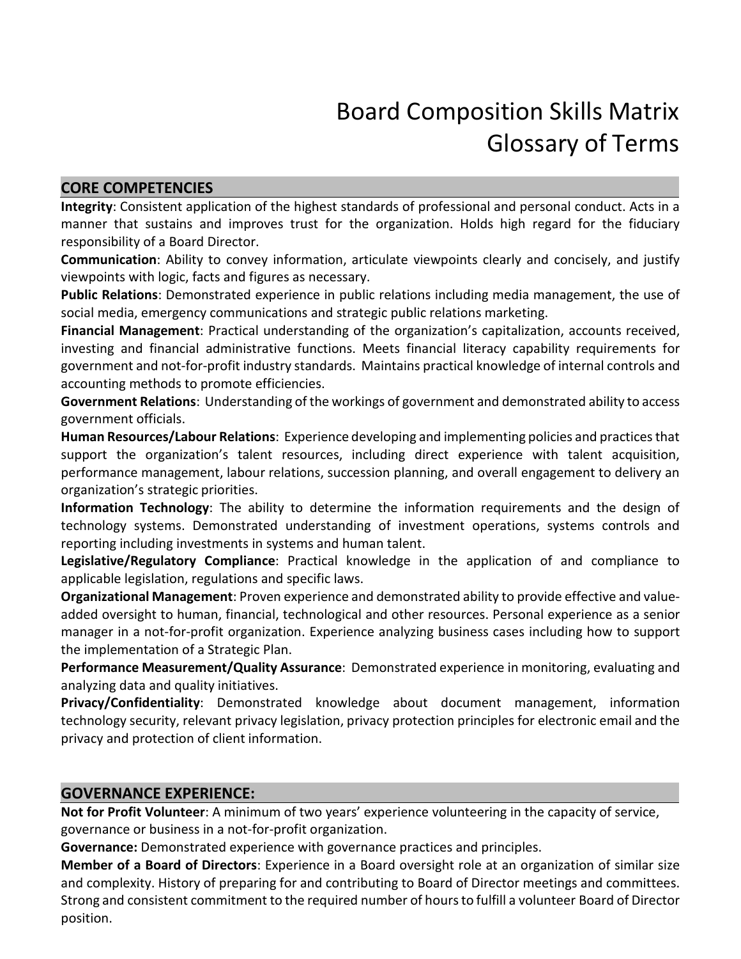# Board Composition Skills Matrix Glossary of Terms

#### **CORE COMPETENCIES**

**Integrity**: Consistent application of the highest standards of professional and personal conduct. Acts in a manner that sustains and improves trust for the organization. Holds high regard for the fiduciary responsibility of a Board Director.

**Communication**: Ability to convey information, articulate viewpoints clearly and concisely, and justify viewpoints with logic, facts and figures as necessary.

**Public Relations**: Demonstrated experience in public relations including media management, the use of social media, emergency communications and strategic public relations marketing.

**Financial Management**: Practical understanding of the organization's capitalization, accounts received, investing and financial administrative functions. Meets financial literacy capability requirements for government and not-for-profit industry standards. Maintains practical knowledge of internal controls and accounting methods to promote efficiencies.

**Government Relations**: Understanding of the workings of government and demonstrated ability to access government officials.

**Human Resources/Labour Relations**: Experience developing and implementing policies and practicesthat support the organization's talent resources, including direct experience with talent acquisition, performance management, labour relations, succession planning, and overall engagement to delivery an organization's strategic priorities.

**Information Technology**: The ability to determine the information requirements and the design of technology systems. Demonstrated understanding of investment operations, systems controls and reporting including investments in systems and human talent.

**Legislative/Regulatory Compliance**: Practical knowledge in the application of and compliance to applicable legislation, regulations and specific laws.

**Organizational Management**: Proven experience and demonstrated ability to provide effective and valueadded oversight to human, financial, technological and other resources. Personal experience as a senior manager in a not-for-profit organization. Experience analyzing business cases including how to support the implementation of a Strategic Plan.

**Performance Measurement/Quality Assurance**: Demonstrated experience in monitoring, evaluating and analyzing data and quality initiatives.

**Privacy/Confidentiality**: Demonstrated knowledge about document management, information technology security, relevant privacy legislation, privacy protection principles for electronic email and the privacy and protection of client information.

#### **GOVERNANCE EXPERIENCE:**

**Not for Profit Volunteer**: A minimum of two years' experience volunteering in the capacity of service, governance or business in a not-for-profit organization.

**Governance:** Demonstrated experience with governance practices and principles.

**Member of a Board of Directors**: Experience in a Board oversight role at an organization of similar size and complexity. History of preparing for and contributing to Board of Director meetings and committees. Strong and consistent commitment to the required number of hoursto fulfill a volunteer Board of Director position.